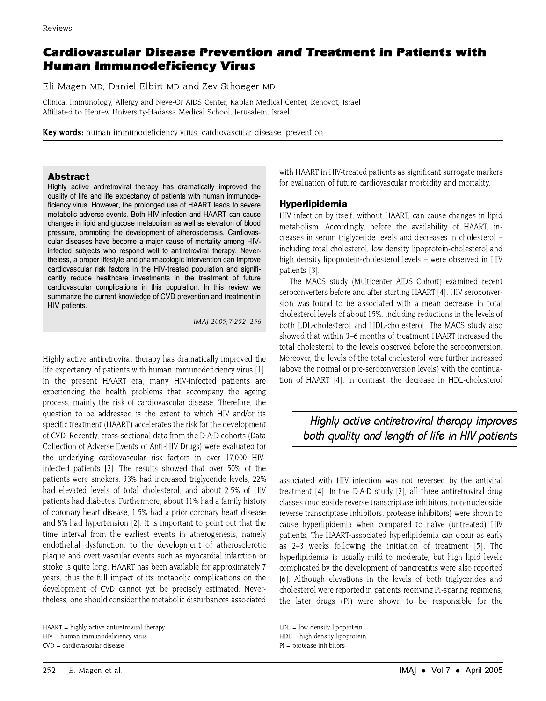## **Cardiovascular Disease Prevention and Treatment in Patients with Human Immunodeficiency Virus**

Eli Magen MD, Daniel Elbirt MD and Zev Sthoeger MD

Clinical Immunology, Allergy and Neve-Or AIDS Center, Kaplan Medical Center, Rehovot, Israel Affiliated to Hebrew University-Hadassa Medical School, Jerusalem, Israel

Key words: human immunodeficiency virus, cardiovascular disease, prevention

#### **Abstract**

Highly active antiretroviral therapy has dramatically improved the quality of life and life expectancy of patients with human immunodeficiency virus. However, the prolonged use of HAART leads to severe metabolic adverse events. Both HIV infection and HAART can cause changes in lipid and glucose metabolism as well as elevation of blood pressure, promoting the development of atherosclerosis. Cardiovascular diseases have become a major cause of mortality among HIVinfected subjects who respond well to antiretroviral therapy. Nevertheless, a proper lifestyle and pharmacologic intervention can improve cardiovascular risk factors in the HIV-treated population and significantly reduce healthcare investments in the treatment of future cardiovascular complications in this population. In this review we summarize the current knowledge of CVD prevention and treatment in HIV patients.

IMAJ 2005; 7:252-256

Highly active antiretroviral therapy has dramatically improved the life expectancy of patients with human immunodeficiency virus [1]. In the present HAART era, many HIV-infected patients are experiencing the health problems that accompany the ageing process, mainly the risk of cardiovascular disease. Therefore, the question to be addressed is the extent to which HIV and/or its specific treatment (HAART) accelerates the risk for the development of CVD. Recently, cross-sectional data from the D:A:D cohorts (Data Collection of Adverse Events of Anti-HIV Drugs) were evaluated for the underlying cardiovascular risk factors in over 17,000 HIVinfected patients [2]. The results showed that over 50% of the patients were smokers, 33% had increased triglyceride levels, 22% had elevated levels of total cholesterol, and about 2.5% of HIV patients had diabetes. Furthermore, about 11% had a family history of coronary heart disease, 1.5% had a prior coronary heart disease and 8% had hypertension [2]. It is important to point out that the time interval from the earliest events in atherogenesis, namely endothelial dysfunction, to the development of atherosclerotic plaque and overt vascular events such as myocardial infarction or stroke is quite long. HAART has been available for approximately 7 years, thus the full impact of its metabolic complications on the development of CVD cannot yet be precisely estimated. Nevertheless, one should consider the metabolic disturbances associated

HIV = human immunodeficiency virus

 $CVD = \text{cardiovascular disease}$ 

with HAART in HIV-treated patients as significant surrogate markers for evaluation of future cardiovascular morbidity and mortality.

### Hyperlipidemia

HIV infection by itself, without HAART, can cause changes in lipid metabolism. Accordingly, before the availability of HAART, increases in serum triglyceride levels and decreases in cholesterol including total cholesterol, low density lipoprotein-cholesterol and high density lipoprotein-cholesterol levels - were observed in HIV patients [3].

The MACS study (Multicenter AIDS Cohort) examined recent seroconverters before and after starting HAART [4]. HIV seroconversion was found to be associated with a mean decrease in total cholesterol levels of about 15%, including reductions in the levels of both LDL-cholesterol and HDL-cholesterol. The MACS study also showed that within 3-6 months of treatment HAART increased the total cholesterol to the levels observed before the seroconversion. Moreover the levels of the total cholesterol were further increased (above the normal or pre-seroconversion levels) with the continuation of HAART [4]. In contrast, the decrease in HDL-cholesterol

# Highly active antiretroviral therapy improves both quality and length of life in HIV patients

associated with HIV infection was not reversed by the antiviral treatment [4]. In the D:A:D study [2], all three antiretroviral drug classes (nucleoside reverse transcriptase inhibitors, non-nucleoside reverse transcriptase inhibitors, protease inhibitors) were shown to cause hyperlipidemia when compared to naïve (untreated) HIV patients. The HAART-associated hyperlipidemia can occur as early as 2-3 weeks following the initiation of treatment [5]. The hyperlipidemia is usually mild to moderate, but high lipid levels complicated by the development of pancreatitis were also reported [6]. Although elevations in the levels of both triglycerides and cholesterol were reported in patients receiving PI-sparing regimens, the later drugs (PI) were shown to be responsible for the

HAART = highly active antiretroviral therapy

 $LDL = low density lipoprotein$ 

HDL = high density lipoprotein

 $PI =$  protease inhibitors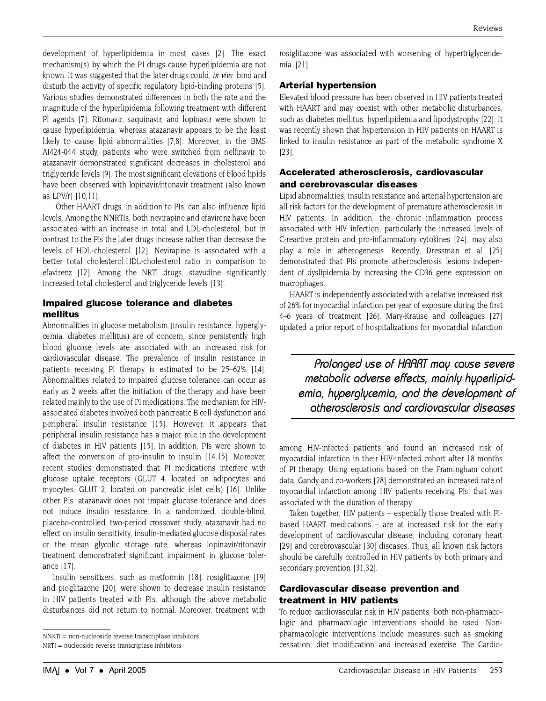development of hyperlipidemia in most cases [2]. The exact mechanism(s) by which the PI drugs cause hyperlipidemia are not known. It was suggested that the later drugs could, in vive, bind and disturb the activity of specific regulatory lipid-binding proteins [5]. Various studies demonstrated differences in both the rate and the magnitude of the hyperlipidemia following treatment with different PI agents [7]. Ritonavir, saguinavir, and lopinavir were shown to cause hyperlipidemia, whereas atazanavir appears to be the least likely to cause lipid abnormalities [7,8]. Moreover, in the BMS AI424-044 study, patients who were switched from nelfinavir to atazanavir demonstrated significant decreases in cholesterol and triglyceride levels [9]. The most significant elevations of blood lipids have been observed with lopinavir/ritonavir treatment (also known as LPV/r) [10.11].

Other HAART drugs, in addition to PIs, can also influence lipid levels. Among the NNRTIs, both nevirapine and efavirenz have been associated with an increase in total and LDL-cholesterol, but in contrast to the PIs the later drugs increase rather than decrease the levels of HDL-cholesterol [12]. Nevirapine is associated with a better total cholesterol:HDL-cholesterol ratio in comparison to efavirenz [12]. Among the NRTI drugs, stavudine significantly increased total cholesterol and triglyceride levels [13].

### Impaired glucose tolerance and diabetes mellitus

Abnormalities in glucose metabolism (insulin resistance, hyperglycemia, diabetes mellitus) are of concern, since persistently high blood glucose levels are associated with an increased risk for cardiovascular disease. The prevalence of insulin resistance in patients receiving PI therapy is estimated to be 25–62% [14]. Abnormalities related to impaired glucose tolerance can occur as early as 2 weeks after the initiation of the therapy and have been related mainly to the use of PI medications. The mechanism for HIVassociated diabetes involved both pancreatic B cell dysfunction and peripheral insulin resistance [15]. However, it appears that peripheral insulin resistance has a major role in the development of diabetes in HIV patients [15]. In addition, PIs were shown to affect the conversion of pro-insulin to insulin [14,15]. Moreover, recent studies demonstrated that PI medications interfere with glucose uptake receptors (GLUT 4, located on adipocytes and myocytes; GLUT 2, located on pancreatic islet cells) [16]. Unlike other PIs, atazanavir does not impair glucose tolerance and does not induce insulin resistance. In a randomized, double-blind, placebo-controlled, two-period crossover study, atazanavir had no effect on insulin sensitivity, insulin-mediated glucose disposal rates or the mean glycolic storage rate, whereas lopinavir/ritonavir treatment demonstrated significant impairment in glucose tolerance [17].

Insulin sensitizers, such as metformin [18], rosiglitazone [19] and pioglitazone [20], were shown to decrease insulin resistance in HIV patients treated with PIs, although the above metabolic disturbances did not return to normal. Moreover, treatment with

rosiglitazone was associated with worsening of hypertriglyceridemia [21].

## **Arterial hypertension**

Elevated blood pressure has been observed in HIV patients treated with HAART and may coexist with other metabolic disturbances, such as diabetes mellitus, hyperlipidemia and lipodystrophy [22]. It was recently shown that hypertension in HIV patients on HAART is linked to insulin resistance as part of the metabolic syndrome X  $[23]$ .

## Accelerated atherosclerosis, cardiovascular and cerebrovascular diseases

Lipid abnormalities, insulin resistance and arterial hypertension are all risk factors for the development of premature atherosclerosis in HIV patients. In addition, the chronic inflammation process associated with HIV infection, particularly the increased levels of C-reactive protein and pro-inflammatory cytokines [24], may also play a role in atherogenesis. Recently, Dressman et al. [25] demonstrated that PIs promote atherosclerosis lesions independent of dyslipidemia by increasing the CD36 gene expression on macrophages.

HAART is independently associated with a relative increased risk of 26% for myocardial infarction per year of exposure during the first 4-6 years of treatment [26]. Mary-Krause and colleagues [27] updated a prior report of hospitalizations for myocardial infarction

Prolonged use of HAART may cause severe metabolic adverse effects, mainly hyperlipidemia, hyperglycemia, and the development of atherosclerosis and cardiovascular diseases

among HIV-infected patients and found an increased risk of myocardial infarction in their HIV-infected cohort after 18 months of PI therapy. Using equations based on the Framingham cohort data, Gandy and co-workers [28] demonstrated an increased rate of myocardial infarction among HIV patients receiving PIs, that was associated with the duration of therapy.

Taken together, HIV patients - especially those treated with PIbased HAART medications - are at increased risk for the early development of cardiovascular disease, including coronary heart [29] and cerebrovascular [30] diseases. Thus, all known risk factors should be carefully controlled in HIV patients by both primary and secondary prevention [31.32].

## **Cardiovascular disease prevention and** treatment in HIV patients

To reduce cardiovascular risk in HIV patients, both non-pharmacologic and pharmacologic interventions should be used. Nonpharmacologic interventions include measures such as smoking cessation, diet modification and increased exercise. The Cardio-

 $NNRTI = non-nucleoside$  reverse transcriptase inhibitors

NRTI = nucleoside reverse transcriptase inhibitors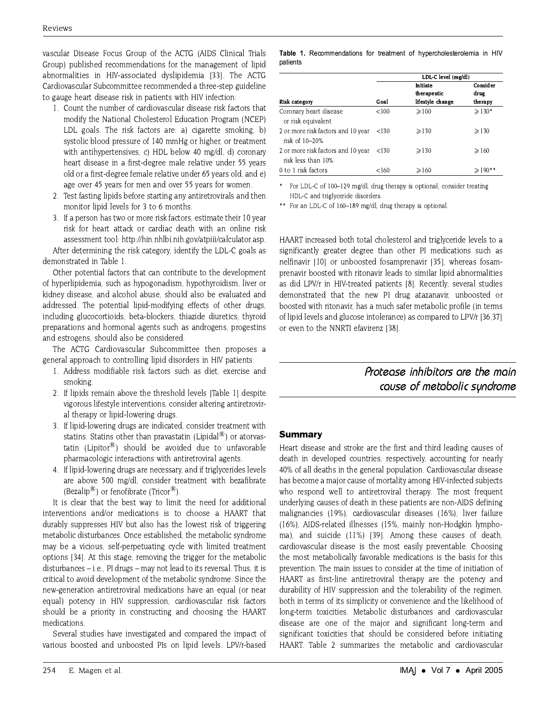vascular Disease Focus Group of the ACTG (AIDS Clinical Trials Group) published recommendations for the management of lipid abnormalities in HIV-associated dyslipidemia [33]. The ACTG Cardiovascular Subcommittee recommended a three-step guideline to gauge heart disease risk in patients with HIV infection:

- 1. Count the number of cardiovascular disease risk factors that modify the National Cholesterol Education Program (NCEP) LDL goals. The risk factors are: a) cigarette smoking, b) systolic blood pressure of 140 mmHg or higher, or treatment with antihypertensives, c) HDL below 40 mg/dl, d) coronary heart disease in a first-degree male relative under 55 years old or a first-degree female relative under 65 years old, and e) age over 45 years for men and over 55 years for women.
- 2. Test fasting lipids before starting any antiretrovirals and then monitor lipid levels for 3 to 6 months.
- 3. If a person has two or more risk factors, estimate their 10 year risk for heart attack or cardiac death with an online risk assessment tool: http://hin.nhlbi.nih.gov/atpiii/calculator.asp.

After determining the risk category, identify the LDL-C goals as demonstrated in Table 1.

Other potential factors that can contribute to the development of hyperlipidemia, such as hypogonadism, hypothyroidism, liver or kidney disease, and alcohol abuse, should also be evaluated and addressed. The potential lipid-modifying effects of other drugs, including glucocortioids, beta-blockers, thiazide diuretics, thyroid preparations and hormonal agents such as androgens, progestins and estrogens, should also be considered.

The ACTG Cardiovascular Subcommittee then proposes a general approach to controlling lipid disorders in HIV patients:

- 1. Address modifiable risk factors such as diet, exercise and smoking.
- 2. If lipids remain above the threshold levels [Table 1] despite vigorous lifestyle interventions, consider altering antiretroviral therapy or lipid-lowering drugs.
- 3. If lipid-lowering drugs are indicated, consider treatment with statins. Statins other than pravastatin (Lipidal $\mathcal{B}$ ) or atorvastatin (Lipitor®) should be avoided due to unfavorable pharmacologic interactions with antiretroviral agents.
- 4. If lipid-lowering drugs are necessary, and if triglycerides levels are above 500 mg/dl, consider treatment with bezafibrate (Bezalip<sup>®</sup>) or fenofibrate (Tricor<sup>®</sup>).

It is clear that the best way to limit the need for additional interventions and/or medications is to choose a HAART that durably suppresses HIV but also has the lowest risk of triggering metabolic disturbances. Once established, the metabolic syndrome may be a vicious, self-perpetuating cycle with limited treatment options [34]. At this stage, removing the trigger for the metabolic disturbances  $-$  i.e., PI drugs  $-$  may not lead to its reversal. Thus, it is critical to avoid development of the metabolic syndrome. Since the new-generation antiretroviral medications have an equal (or near equal) potency in HIV suppression, cardiovascular risk factors should be a priority in constructing and choosing the HAART medications.

Several studies have investigated and compared the impact of various boosted and unboosted PIs on lipid levels. LPV/r-based

|          |  |  | Table 1. Recommendations for treatment of hypercholesterolemia in HIV |  |
|----------|--|--|-----------------------------------------------------------------------|--|
| patients |  |  |                                                                       |  |

|                                                          |          | LDL-C level (mg/dl) |                 |  |
|----------------------------------------------------------|----------|---------------------|-----------------|--|
|                                                          | Initiate |                     | Consider        |  |
|                                                          |          | therapeutic         | drug            |  |
| <b>Risk category</b>                                     | Goal     | lifestyle change    | therapy         |  |
| Coronary heart disease<br>or risk equivalent             | < 100    | $\geq 100$          | $>130*$         |  |
| 2 or more risk factors and 10 year<br>risk of 10-20%     | < 130    | $\geqslant$ 130     | $\geqslant$ 130 |  |
| 2 or more risk factors and 10 year<br>risk less than 10% | < 130    | $\geq$ 130          | $\geq 160$      |  |
| 0 to 1 risk factors                                      | <160     | $\geqslant$ 160     | $\geq 190**$    |  |

For LDL-C of 100-129 mg/dl, drug therapy is optional; consider treating HDL-C and triglyceride disorders

\*\* For an LDL-C of 160-189 mg/dl, drug therapy is optional.

HAART increased both total cholesterol and triglyceride levels to a significantly greater degree than other PI medications such as nelfinavir [10] or unboosted fosamprenavir [35], whereas fosamprenavir boosted with ritonavir leads to similar lipid abnormalities as did LPV/r in HIV-treated patients [8]. Recently, several studies demonstrated that the new PI drug atazanavir, unboosted or boosted with ritonavir, has a much safer metabolic profile (in terms of lipid levels and glucose intolerance) as compared to LPV/r [36.37] or even to the NNRTI efavirenz [38].

Protegse inhibitors are the main cause of metabolic sundrome

### **Summary**

Heart disease and stroke are the first and third leading causes of death in developed countries, respectively, accounting for nearly 40% of all deaths in the general population. Cardiovascular disease has become a major cause of mortality among HIV-infected subjects who respond well to antiretroviral therapy. The most frequent underlying causes of death in these patients are non-AIDS defining malignancies (19%), cardiovascular diseases (16%), liver failure (16%), AIDS-related illnesses (15%, mainly non-Hodgkin lymphoma), and suicide (11%) [39]. Among these causes of death, cardiovascular disease is the most easily preventable. Choosing the most metabolically favorable medications is the basis for this prevention. The main issues to consider at the time of initiation of HAART as first-line antiretroviral therapy are the potency and durability of HIV suppression and the tolerability of the regimen, both in terms of its simplicity or convenience and the likelihood of long-term toxicities. Metabolic disturbances and cardiovascular disease are one of the major and significant long-term and significant toxicities that should be considered before initiating HAART. Table 2 summarizes the metabolic and cardiovascular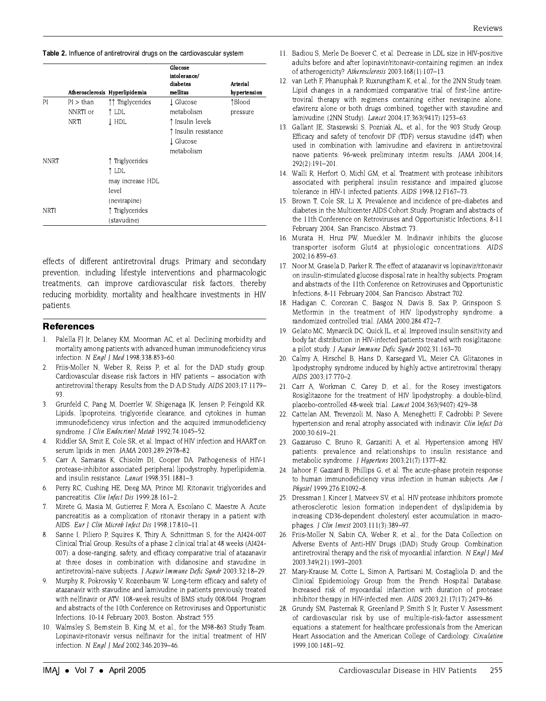Table 2. Influence of antiretroviral drugs on the cardiovascular system

|             |             |                                | Glucose<br>intolerance/ |                 |
|-------------|-------------|--------------------------------|-------------------------|-----------------|
|             |             |                                | diabetes                | <b>Arterial</b> |
|             |             | Atherosclerosis Hyperlipidemia | mellitus                | hypertension    |
| PI          | PI > than   | ↑↑ Triglycerides               | L Glucose               | 1Blood          |
|             | NNRTI or    | ↑ LDL                          | metabolism              | pressure        |
|             | <b>NRTI</b> | T HDL                          | ↑ Insulin levels        |                 |
|             |             |                                | ↑ Insulin resistance    |                 |
|             |             |                                | ↓ Glucose               |                 |
|             |             |                                | metabolism              |                 |
| <b>NNRT</b> |             | ↑ Triglycerides                |                         |                 |
|             |             | î ldl                          |                         |                 |
|             |             | may increase HDL               |                         |                 |
|             |             | level                          |                         |                 |
|             |             | (nevirapine)                   |                         |                 |
| <b>NRTI</b> |             | ↑ Triglycerides                |                         |                 |
|             |             | (stavudine)                    |                         |                 |

effects of different antiretroviral drugs. Primary and secondary prevention, including lifestyle interventions and pharmacologic treatments, can improve cardiovascular risk factors, thereby reducing morbidity, mortality and healthcare investments in HIV patients.

#### **References**

- 1. Palella FJ Jr, Delaney KM, Moorman AC, et al. Declining morbidity and mortality among patients with advanced human immunodeficiency virus infection. N Engl | Med 1998:338:853-60.
- $2.$ Friis-Moller N. Weber R. Reiss P. et al. for the DAD study group. Cardiovascular disease risk factors in HIV patients - association with antiretroviral therapy. Results from the D:A:D Study. AIDS 2003;17:1179-93
- $\overline{3}$ Grunfeld C. Pang M. Doerrler W. Shigenaga JK. Jensen P. Feingold KR. Lipids, lipoproteins, triglyceride clearance, and cytokines in human immunodeficiency virus infection and the acquired immunodeficiency syndrome. J Clin Endocrinol Metab 1992;74:1045-52.
- $4.$ Riddler SA, Smit E, Cole SR, et al. Impact of HIV infection and HAART on serum lipids in men. JAMA 2003;289:2978-82.
- $5<sub>1</sub>$ Carr A, Samaras K, Chisolm DJ, Cooper DA. Pathogenesis of HIV-1 protease-inhibitor associated peripheral lipodystrophy, hyperlipidemia, and insulin resistance. Lancet 1998:351:1881-3.
- Perry RC, Cushing HE, Deeg MA, Prince MJ. Ritonavir, triglycerides and 6. pancreatitis. Clin Infect Dis 1999;28:161-2.
- $7^{\circ}$ Mirete G, Masia M, Gutierrez F, Mora A, Escolano C, Maestre A. Acute pancreatitis as a complication of ritonavir therapy in a patient with AIDS. Eur J Clin Microb Infect Dis 1998;17:810-11.
- Sanne I, Piliero P, Squires K, Thiry A, Schnittman S, for the AI424-007 8 Clinical Trial Group. Results of a phase 2 clinical trial at 48 weeks (AI424-007): a dose-ranging, safety, and efficacy comparative trial of atazanavir at three doses in combination with didanosine and stavudine in antiretroviral-naive subjects. J Acquir Immune Defic Syndr 2003;32:18-29.
- 9. Murphy R, Pokrovsky V, Rozenbaum W. Long-term efficacy and safety of atazanavir with stavudine and lamivudine in patients previously treated with nelfinavir or ATV: 108-week results of BMS study 008/044. Program and abstracts of the 10th Conference on Retroviruses and Opportunistic Infections, 10-14 February 2003, Boston. Abstract 555
- 10. Walmsley S, Bernstein B, King M, et al., for the M98-863 Study Team. Lopinavir-ritonavir versus nelfinavir for the initial treatment of HIV infection. N Engl J Med 2002;346:2039-46.
- 11. Badiou S, Merle De Boever C, et al. Decrease in LDL size in HIV-positive adults before and after lopinavir/ritonavir-containing regimen: an index of atherogenicity? Atherosclerosis 2003;168(1):107-13.
- 12. van Leth F, Phanuphak P, Ruxrungtham K, et al., for the 2NN Study team. Lipid changes in a randomized comparative trial of first-line antiretroviral therapy with regimens containing either nevirapine alone, efavirenz alone or both drugs combined, together with stavudine and lamivudine (2NN Study). Lancet 2004;17;363(9417):1253-63.
- 13. Gallant JE, Staszewski S, Pozniak AL, et al., for the 903 Study Group. Efficacy and safety of tenofovir DF (TDF) versus stavudine (d4T) when used in combination with lamivudine and efavirenz in antiretroviral naove patients: 96-week preliminary interim results. JAMA 2004;14;  $292(2):191-201.$
- 14. Walli R, Herfort O, Michl GM, et al. Treatment with protease inhibitors associated with peripheral insulin resistance and impaired glucose tolerance in HIV-1 infected patients. AIDS 1998;12:F167-73
- 15. Brown T. Cole SR. Li X. Prevalence and incidence of pre-diabetes and diabetes in the Multicenter AIDS Cohort Study. Program and abstracts of the 11th Conference on Retroviruses and Opportunistic Infections, 8-11 February 2004, San Francisco. Abstract 73.
- 16. Murata H, Hruz PW, Mueckler M. Indinavir inhibits the glucose transporter isoform Glut4 at physiologic concentrations. AIDS 2002;16:859-63.
- 17. Noor M, Grasela D, Parker R. The effect of atazanavir vs lopinavir/ritonavir on insulin-stimulated glucose disposal rate in healthy subjects. Program and abstracts of the 11th Conference on Retroviruses and Opportunistic Infections, 8-11 February 2004, San Francisco. Abstract 702.
- 18. Hadigan C, Corcoran C, Basgoz N, Davis B, Sax P, Grinspoon S. Metformin in the treatment of HIV lipodystrophy syndrome: a randomized controlled trial. JAMA 2000;284:472-7.
- 19. Gelato MC, Mynarcik DC, Quick JL, et al. Improved insulin sensitivity and body fat distribution in HIV-infected patients treated with rosiglitazone: a pilot study. J Acquir Immune Defic Syndr 2002;31:163-70
- 20. Calmy A, Hirschel B, Hans D, Karsegard VL, Meier CA. Glitazones in lipodystrophy syndrome induced by highly active antiretroviral therapy. AIDS 2003:17:770-2.
- 21. Carr A, Workman C, Carey D, et al., for the Rosey investigators. Rosiglitazone for the treatment of HIV lipodystrophy: a double-blind, placebo-controlled 48-week trial. Lancet 2004;363(9407):429-38
- 22. Cattelan AM, Trevenzoli M, Naso A, Meneghetti F, Cadrobbi P. Severe hypertension and renal atrophy associated with indinavir. Clin Infect Dis 2000:30:619-21.
- 23. Gazzaruso C, Bruno R, Garzaniti A, et al. Hypertension among HIV patients: prevalence and relationships to insulin resistance and metabolic syndrome. J Hypertens 2003;21(7):1377-82.
- 24. Jahoor F, Gazzard B, Phillips G, et al. The acute-phase protein response to human immunodeficiency virus infection in human subjects. Am I Physiol 1999;276:E1092-8.
- 25. Dressman J, Kincer J, Matveev SV, et al. HIV protease inhibitors promote atherosclerotic lesion formation independent of dyslipidemia by increasing CD36-dependent cholesteryl ester accumulation in macrophages. J Clin Invest 2003;111(3):389-97.
- 26. Friis-Moller N, Sabin CA, Weber R, et al., for the Data Collection on Adverse Events of Anti-HIV Drugs (DAD) Study Group. Combination antiretroviral therapy and the risk of myocardial infarction. N Engl J Med 2003;349(21):1993-2003.
- 27. Mary-Krause M, Cotte L, Simon A, Partisani M, Costagliola D; and the Clinical Epidemiology Group from the French Hospital Database. Increased risk of myocardial infarction with duration of protease inhibitor therapy in HIV-infected men. AIDS 2003;21;17(17):2479-86.
- 28. Grundy SM, Pasternak R, Greenland P, Smith S Jr, Fuster V. Assessment of cardiovascular risk by use of multiple-risk-factor assessment equations: a statement for healthcare professionals from the American Heart Association and the American College of Cardiology. Circulation 1999:100:1481-92.